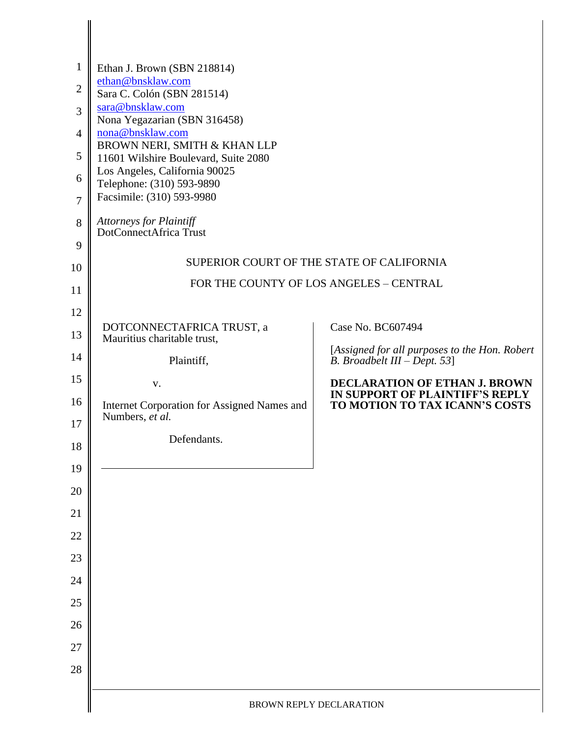| $\mathbf{1}$<br>$\overline{2}$<br>3<br>$\overline{4}$<br>5<br>6<br>$\overline{7}$<br>8<br>9<br>10 | Ethan J. Brown (SBN 218814)<br>ethan@bnsklaw.com<br>Sara C. Colón (SBN 281514)<br>sara@bnsklaw.com<br>Nona Yegazarian (SBN 316458)<br>nona@bnsklaw.com<br>BROWN NERI, SMITH & KHAN LLP<br>11601 Wilshire Boulevard, Suite 2080<br>Los Angeles, California 90025<br>Telephone: (310) 593-9890<br>Facsimile: (310) 593-9980<br>Attorneys for Plaintiff<br>DotConnectAfrica Trust | SUPERIOR COURT OF THE STATE OF CALIFORNIA                                       |  |
|---------------------------------------------------------------------------------------------------|--------------------------------------------------------------------------------------------------------------------------------------------------------------------------------------------------------------------------------------------------------------------------------------------------------------------------------------------------------------------------------|---------------------------------------------------------------------------------|--|
| 11                                                                                                | FOR THE COUNTY OF LOS ANGELES - CENTRAL                                                                                                                                                                                                                                                                                                                                        |                                                                                 |  |
| 12                                                                                                |                                                                                                                                                                                                                                                                                                                                                                                |                                                                                 |  |
| 13                                                                                                | DOTCONNECTAFRICA TRUST, a<br>Mauritius charitable trust,                                                                                                                                                                                                                                                                                                                       | Case No. BC607494                                                               |  |
| 14                                                                                                | Plaintiff,                                                                                                                                                                                                                                                                                                                                                                     | [Assigned for all purposes to the Hon. Robert<br>B. Broadbelt III $-$ Dept. 53] |  |
| 15                                                                                                | V.                                                                                                                                                                                                                                                                                                                                                                             | <b>DECLARATION OF ETHAN J. BROWN</b>                                            |  |
| 16                                                                                                | Internet Corporation for Assigned Names and<br>Numbers, et al.                                                                                                                                                                                                                                                                                                                 | IN SUPPORT OF PLAINTIFF'S REPLY<br>TO MOTION TO TAX ICANN'S COSTS               |  |
| 17<br>18                                                                                          | Defendants.                                                                                                                                                                                                                                                                                                                                                                    |                                                                                 |  |
| 19                                                                                                |                                                                                                                                                                                                                                                                                                                                                                                |                                                                                 |  |
| 20                                                                                                |                                                                                                                                                                                                                                                                                                                                                                                |                                                                                 |  |
| 21                                                                                                |                                                                                                                                                                                                                                                                                                                                                                                |                                                                                 |  |
| 22                                                                                                |                                                                                                                                                                                                                                                                                                                                                                                |                                                                                 |  |
| 23                                                                                                |                                                                                                                                                                                                                                                                                                                                                                                |                                                                                 |  |
| 24                                                                                                |                                                                                                                                                                                                                                                                                                                                                                                |                                                                                 |  |
| 25                                                                                                |                                                                                                                                                                                                                                                                                                                                                                                |                                                                                 |  |
| 26                                                                                                |                                                                                                                                                                                                                                                                                                                                                                                |                                                                                 |  |
| 27                                                                                                |                                                                                                                                                                                                                                                                                                                                                                                |                                                                                 |  |
| 28                                                                                                |                                                                                                                                                                                                                                                                                                                                                                                |                                                                                 |  |
|                                                                                                   | BROWN REPLY DECLARATION                                                                                                                                                                                                                                                                                                                                                        |                                                                                 |  |